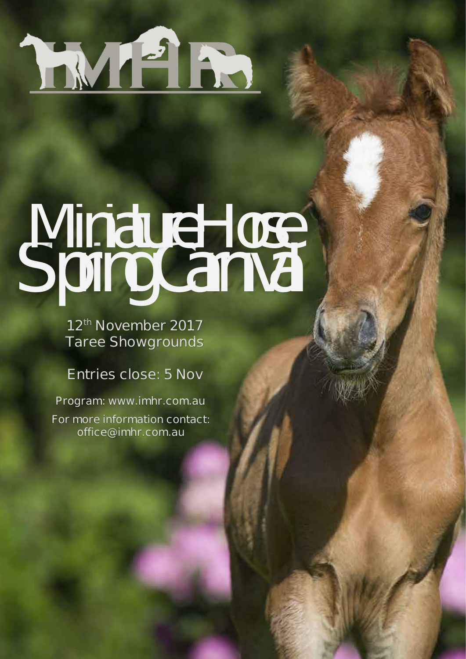

*Spring Carnival Miniature Horse*

**12th November 2017 Taree Showgrounds**

## **Entries close: 5 Nov**

**For more information contact: office@imhr.com.au Program: www.imhr.com.au**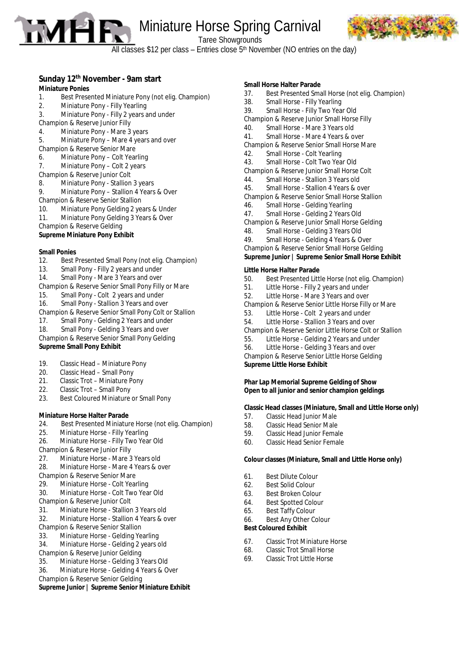**Miniature Horse Spring Carnival** 



Taree Showgrounds

All classes \$12 per class – Entries close  $5<sup>th</sup>$  November (NO entries on the day)

### **Sunday 12th November - 9am start**

#### **Miniature Ponies**

- 1. Best Presented Miniature Pony (not elig. Champion)
- 2. Miniature Pony Filly Yearling
- 3. Miniature Pony Filly 2 years and under
- Champion & Reserve Junior Filly
- 4. Miniature Pony Mare 3 years
- 5. Miniature Pony Mare 4 years and over
- Champion & Reserve Senior Mare
- 6. Miniature Pony Colt Yearling
- 7. Miniature Pony Colt 2 years Champion & Reserve Junior Colt
- 8. Miniature Pony Stallion 3 years
- 9. Miniature Pony Stallion 4 Years & Over
- Champion & Reserve Senior Stallion
- 10. Miniature Pony Gelding 2 years & Under
- 11. Miniature Pony Gelding 3 Years & Over
- Champion & Reserve Gelding
- **Supreme Miniature Pony Exhibit**

#### **Small Ponies**

- 12. Best Presented Small Pony (not elig. Champion)
- Small Pony Filly 2 years and under
- 14. Small Pony Mare 3 Years and over
- Champion & Reserve Senior Small Pony Filly or Mare
- Small Pony Colt 2 years and under
- 16. Small Pony Stallion 3 Years and over
- Champion & Reserve Senior Small Pony Colt or Stallion
- 17. Small Pony Gelding 2 Years and under
- 18. Small Pony Gelding 3 Years and over
- Champion & Reserve Senior Small Pony Gelding

#### **Supreme Small Pony Exhibit**

- 19. Classic Head Miniature Pony<br>20. Classic Head Small Pony
- Classic Head Small Pony
- 21. Classic Trot Miniature Pony<br>22. Classic Trot Small Pony
- 22. Classic Trot Small Pony<br>23. Best Coloured Miniature
- Best Coloured Miniature or Small Pony

#### **Miniature Horse Halter Parade**

- 24. Best Presented Miniature Horse (not elig. Champion)
- 25. Miniature Horse Filly Yearling
- 26. Miniature Horse Filly Two Year Old
- Champion & Reserve Junior Filly
- 27. Miniature Horse Mare 3 Years old
- 28. Miniature Horse Mare 4 Years & over
- Champion & Reserve Senior Mare
- 29. Miniature Horse Colt Yearling
- 30. Miniature Horse Colt Two Year Old
- Champion & Reserve Junior Colt
- 31. Miniature Horse Stallion 3 Years old
- 32. Miniature Horse Stallion 4 Years & over
- Champion & Reserve Senior Stallion
- 33. Miniature Horse Gelding Yearling
- 34. Miniature Horse Gelding 2 years old
- Champion & Reserve Junior Gelding<br>35. Miniature Horse Gelding 31 Miniature Horse - Gelding 3 Years Old
- 36. Miniature Horse Gelding 4 Years & Over
- Champion & Reserve Senior Gelding
- **Supreme Junior | Supreme Senior Miniature Exhibit**

#### **Small Horse Halter Parade**

37. Best Presented Small Horse (not elig. Champion) Small Horse - Filly Yearling 39. Small Horse - Filly Two Year Old Champion & Reserve Junior Small Horse Filly 40. Small Horse - Mare 3 Years old 41. Small Horse - Mare 4 Years & over Champion & Reserve Senior Small Horse Mare 42. Small Horse - Colt Yearling 43. Small Horse - Colt Two Year Old Champion & Reserve Junior Small Horse Colt 44. Small Horse - Stallion 3 Years old 45. Small Horse - Stallion 4 Years & over Champion & Reserve Senior Small Horse Stallion 46. Small Horse - Gelding Yearling 47. Small Horse - Gelding 2 Years Old Champion & Reserve Junior Small Horse Gelding 48. Small Horse - Gelding 3 Years Old 49. Small Horse - Gelding 4 Years & Over Champion & Reserve Senior Small Horse Gelding

**Supreme Junior | Supreme Senior Small Horse Exhibit**

#### **Little Horse Halter Parade**

- 50. Best Presented Little Horse (not elig. Champion)
- 51. Little Horse Filly 2 years and under
- 52. Little Horse Mare 3 Years and over
- Champion & Reserve Senior Little Horse Filly or Mare
- Little Horse Colt 2 years and under
- 54. Little Horse Stallion 3 Years and over
- Champion & Reserve Senior Little Horse Colt or Stallion
- Little Horse Gelding 2 Years and under
- 56. Little Horse Gelding 3 Years and over
- Champion & Reserve Senior Little Horse Gelding

**Supreme Little Horse Exhibit**

#### **Phar Lap Memorial Supreme Gelding of Show Open to all junior and senior champion geldings**

#### **Classic Head classes (Miniature, Small and Little Horse only)**

- 57. Classic Head Junior Male<br>58. Classic Head Senior Male
- 58. Classic Head Senior Male<br>59. Classic Head Junior Fema
- Classic Head Junior Female
- 60. Classic Head Senior Female

#### **Colour classes (Miniature, Small and Little Horse only)**

- 61. Best Dilute Colour
- 62. Best Solid Colour
- 63. Best Broken Colour
- 64. Best Spotted Colour<br>65. Best Taffy Colour
- Best Taffy Colour
- 66. Best Any Other Colour

#### **Best Coloured Exhibit**

- 67. Classic Trot Miniature Horse
- 68. Classic Trot Small Horse
- 69. Classic Trot Little Horse